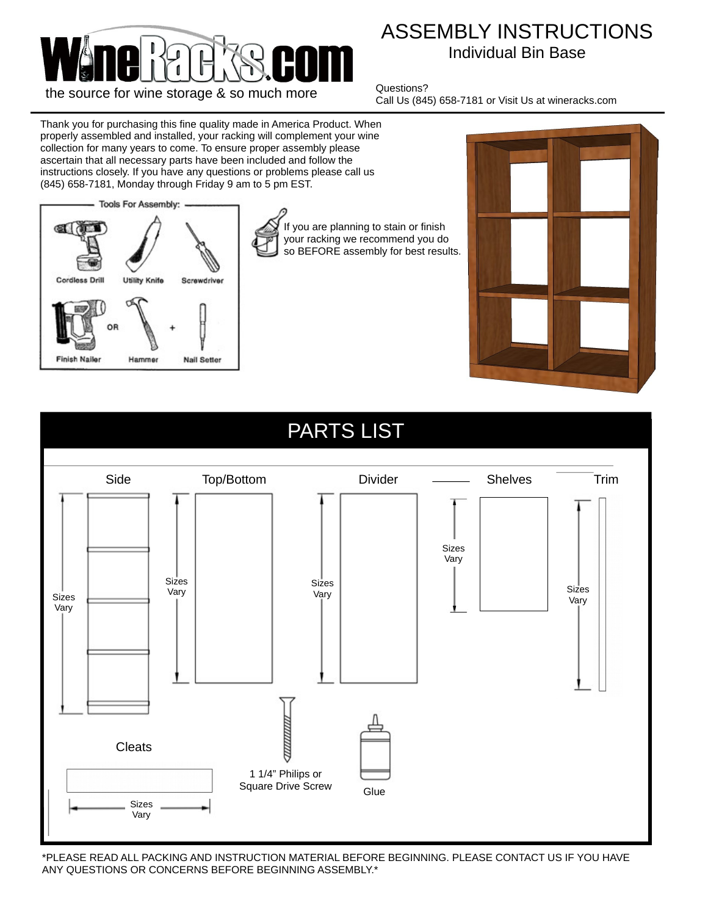

## ASSEMBLY INSTRUCTIONS Individual Bin Base

Questions? Call Us (845) 658-7181 or Visit Us at wineracks.com

Thank you for purchasing this fine quality made in America Product. When properly assembled and installed, your racking will complement your wine collection for many years to come. To ensure proper assembly please ascertain that all necessary parts have been included and follow the instructions closely. If you have any questions or problems please call us (845) 658-7181, Monday through Friday 9 am to 5 pm EST.



If you are planning to stain or finish your racking we recommend you do so BEFORE assembly for best results.





\*PLEASE READ ALL PACKING AND INSTRUCTION MATERIAL BEFORE BEGINNING. PLEASE CONTACT US IF YOU HAVE ANY QUESTIONS OR CONCERNS BEFORE BEGINNING ASSEMBLY.\*